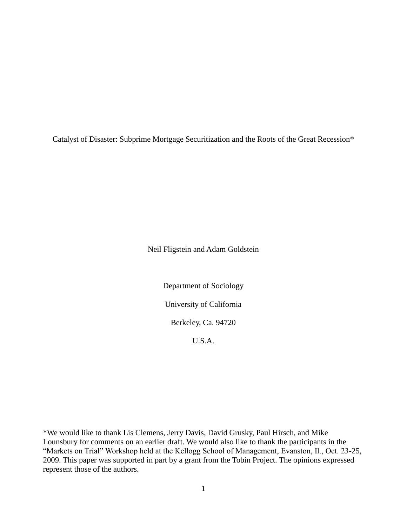Catalyst of Disaster: Subprime Mortgage Securitization and the Roots of the Great Recession\*

Neil Fligstein and Adam Goldstein

Department of Sociology University of California Berkeley, Ca. 94720

U.S.A.

\*We would like to thank Lis Clemens, Jerry Davis, David Grusky, Paul Hirsch, and Mike Lounsbury for comments on an earlier draft. We would also like to thank the participants in the "Markets on Trial" Workshop held at the Kellogg School of Management, Evanston, Il., Oct. 23-25, 2009. This paper was supported in part by a grant from the Tobin Project. The opinions expressed represent those of the authors.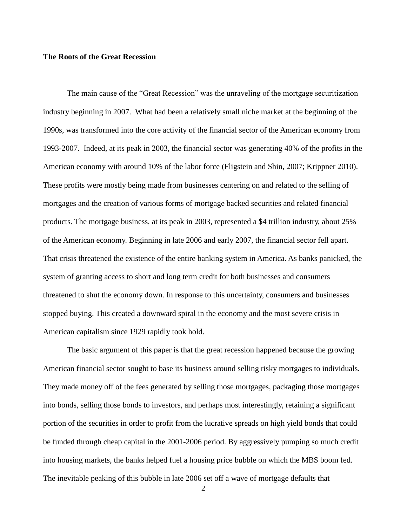#### **The Roots of the Great Recession**

The main cause of the "Great Recession" was the unraveling of the mortgage securitization industry beginning in 2007. What had been a relatively small niche market at the beginning of the 1990s, was transformed into the core activity of the financial sector of the American economy from 1993-2007. Indeed, at its peak in 2003, the financial sector was generating 40% of the profits in the American economy with around 10% of the labor force (Fligstein and Shin, 2007; Krippner 2010). These profits were mostly being made from businesses centering on and related to the selling of mortgages and the creation of various forms of mortgage backed securities and related financial products. The mortgage business, at its peak in 2003, represented a \$4 trillion industry, about 25% of the American economy. Beginning in late 2006 and early 2007, the financial sector fell apart. That crisis threatened the existence of the entire banking system in America. As banks panicked, the system of granting access to short and long term credit for both businesses and consumers threatened to shut the economy down. In response to this uncertainty, consumers and businesses stopped buying. This created a downward spiral in the economy and the most severe crisis in American capitalism since 1929 rapidly took hold.

The basic argument of this paper is that the great recession happened because the growing American financial sector sought to base its business around selling risky mortgages to individuals. They made money off of the fees generated by selling those mortgages, packaging those mortgages into bonds, selling those bonds to investors, and perhaps most interestingly, retaining a significant portion of the securities in order to profit from the lucrative spreads on high yield bonds that could be funded through cheap capital in the 2001-2006 period. By aggressively pumping so much credit into housing markets, the banks helped fuel a housing price bubble on which the MBS boom fed. The inevitable peaking of this bubble in late 2006 set off a wave of mortgage defaults that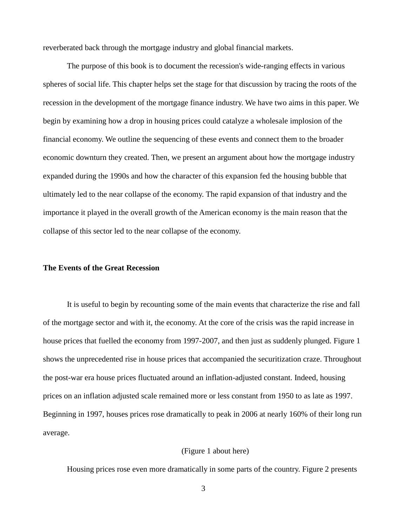reverberated back through the mortgage industry and global financial markets.

The purpose of this book is to document the recession's wide-ranging effects in various spheres of social life. This chapter helps set the stage for that discussion by tracing the roots of the recession in the development of the mortgage finance industry. We have two aims in this paper. We begin by examining how a drop in housing prices could catalyze a wholesale implosion of the financial economy. We outline the sequencing of these events and connect them to the broader economic downturn they created. Then, we present an argument about how the mortgage industry expanded during the 1990s and how the character of this expansion fed the housing bubble that ultimately led to the near collapse of the economy. The rapid expansion of that industry and the importance it played in the overall growth of the American economy is the main reason that the collapse of this sector led to the near collapse of the economy.

# **The Events of the Great Recession**

It is useful to begin by recounting some of the main events that characterize the rise and fall of the mortgage sector and with it, the economy. At the core of the crisis was the rapid increase in house prices that fuelled the economy from 1997-2007, and then just as suddenly plunged. Figure 1 shows the unprecedented rise in house prices that accompanied the securitization craze. Throughout the post-war era house prices fluctuated around an inflation-adjusted constant. Indeed, housing prices on an inflation adjusted scale remained more or less constant from 1950 to as late as 1997. Beginning in 1997, houses prices rose dramatically to peak in 2006 at nearly 160% of their long run average.

## (Figure 1 about here)

Housing prices rose even more dramatically in some parts of the country. Figure 2 presents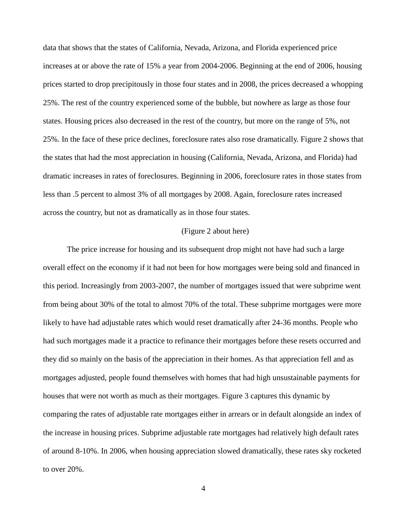data that shows that the states of California, Nevada, Arizona, and Florida experienced price increases at or above the rate of 15% a year from 2004-2006. Beginning at the end of 2006, housing prices started to drop precipitously in those four states and in 2008, the prices decreased a whopping 25%. The rest of the country experienced some of the bubble, but nowhere as large as those four states. Housing prices also decreased in the rest of the country, but more on the range of 5%, not 25%. In the face of these price declines, foreclosure rates also rose dramatically. Figure 2 shows that the states that had the most appreciation in housing (California, Nevada, Arizona, and Florida) had dramatic increases in rates of foreclosures. Beginning in 2006, foreclosure rates in those states from less than .5 percent to almost 3% of all mortgages by 2008. Again, foreclosure rates increased across the country, but not as dramatically as in those four states.

### (Figure 2 about here)

The price increase for housing and its subsequent drop might not have had such a large overall effect on the economy if it had not been for how mortgages were being sold and financed in this period. Increasingly from 2003-2007, the number of mortgages issued that were subprime went from being about 30% of the total to almost 70% of the total. These subprime mortgages were more likely to have had adjustable rates which would reset dramatically after 24-36 months. People who had such mortgages made it a practice to refinance their mortgages before these resets occurred and they did so mainly on the basis of the appreciation in their homes. As that appreciation fell and as mortgages adjusted, people found themselves with homes that had high unsustainable payments for houses that were not worth as much as their mortgages. Figure 3 captures this dynamic by comparing the rates of adjustable rate mortgages either in arrears or in default alongside an index of the increase in housing prices. Subprime adjustable rate mortgages had relatively high default rates of around 8-10%. In 2006, when housing appreciation slowed dramatically, these rates sky rocketed to over 20%.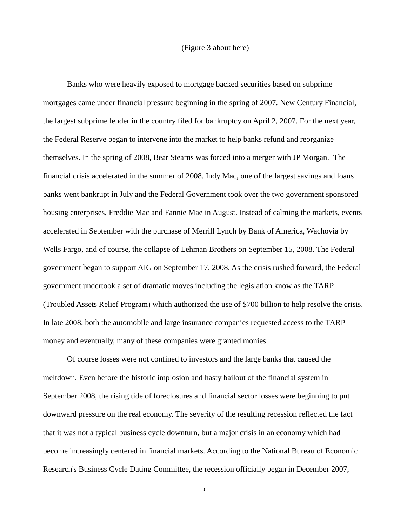### (Figure 3 about here)

Banks who were heavily exposed to mortgage backed securities based on subprime mortgages came under financial pressure beginning in the spring of 2007. New Century Financial, the largest subprime lender in the country filed for bankruptcy on April 2, 2007. For the next year, the Federal Reserve began to intervene into the market to help banks refund and reorganize themselves. In the spring of 2008, Bear Stearns was forced into a merger with JP Morgan. The financial crisis accelerated in the summer of 2008. Indy Mac, one of the largest savings and loans banks went bankrupt in July and the Federal Government took over the two government sponsored housing enterprises, Freddie Mac and Fannie Mae in August. Instead of calming the markets, events accelerated in September with the purchase of Merrill Lynch by Bank of America, Wachovia by Wells Fargo, and of course, the collapse of Lehman Brothers on September 15, 2008. The Federal government began to support AIG on September 17, 2008. As the crisis rushed forward, the Federal government undertook a set of dramatic moves including the legislation know as the TARP (Troubled Assets Relief Program) which authorized the use of \$700 billion to help resolve the crisis. In late 2008, both the automobile and large insurance companies requested access to the TARP money and eventually, many of these companies were granted monies.

Of course losses were not confined to investors and the large banks that caused the meltdown. Even before the historic implosion and hasty bailout of the financial system in September 2008, the rising tide of foreclosures and financial sector losses were beginning to put downward pressure on the real economy. The severity of the resulting recession reflected the fact that it was not a typical business cycle downturn, but a major crisis in an economy which had become increasingly centered in financial markets. According to the National Bureau of Economic Research's Business Cycle Dating Committee, the recession officially began in December 2007,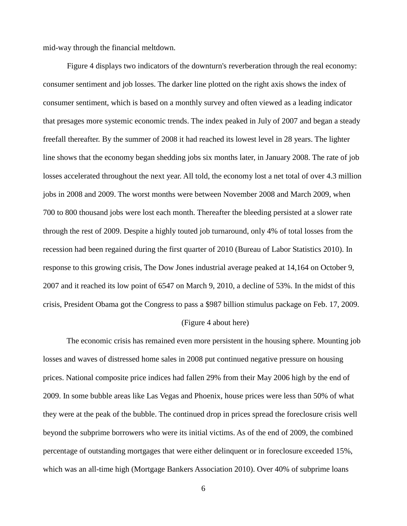mid-way through the financial meltdown.

Figure 4 displays two indicators of the downturn's reverberation through the real economy: consumer sentiment and job losses. The darker line plotted on the right axis shows the index of consumer sentiment, which is based on a monthly survey and often viewed as a leading indicator that presages more systemic economic trends. The index peaked in July of 2007 and began a steady freefall thereafter. By the summer of 2008 it had reached its lowest level in 28 years. The lighter line shows that the economy began shedding jobs six months later, in January 2008. The rate of job losses accelerated throughout the next year. All told, the economy lost a net total of over 4.3 million jobs in 2008 and 2009. The worst months were between November 2008 and March 2009, when 700 to 800 thousand jobs were lost each month. Thereafter the bleeding persisted at a slower rate through the rest of 2009. Despite a highly touted job turnaround, only 4% of total losses from the recession had been regained during the first quarter of 2010 (Bureau of Labor Statistics 2010). In response to this growing crisis, The Dow Jones industrial average peaked at 14,164 on October 9, 2007 and it reached its low point of 6547 on March 9, 2010, a decline of 53%. In the midst of this crisis, President Obama got the Congress to pass a \$987 billion stimulus package on Feb. 17, 2009.

### (Figure 4 about here)

The economic crisis has remained even more persistent in the housing sphere. Mounting job losses and waves of distressed home sales in 2008 put continued negative pressure on housing prices. National composite price indices had fallen 29% from their May 2006 high by the end of 2009. In some bubble areas like Las Vegas and Phoenix, house prices were less than 50% of what they were at the peak of the bubble. The continued drop in prices spread the foreclosure crisis well beyond the subprime borrowers who were its initial victims. As of the end of 2009, the combined percentage of outstanding mortgages that were either delinquent or in foreclosure exceeded 15%, which was an all-time high (Mortgage Bankers Association 2010). Over 40% of subprime loans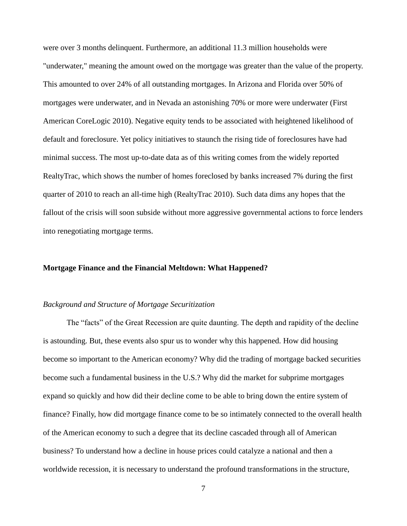were over 3 months delinquent. Furthermore, an additional 11.3 million households were "underwater," meaning the amount owed on the mortgage was greater than the value of the property. This amounted to over 24% of all outstanding mortgages. In Arizona and Florida over 50% of mortgages were underwater, and in Nevada an astonishing 70% or more were underwater (First American CoreLogic 2010). Negative equity tends to be associated with heightened likelihood of default and foreclosure. Yet policy initiatives to staunch the rising tide of foreclosures have had minimal success. The most up-to-date data as of this writing comes from the widely reported RealtyTrac, which shows the number of homes foreclosed by banks increased 7% during the first quarter of 2010 to reach an all-time high (RealtyTrac 2010). Such data dims any hopes that the fallout of the crisis will soon subside without more aggressive governmental actions to force lenders into renegotiating mortgage terms.

# **Mortgage Finance and the Financial Meltdown: What Happened?**

# *Background and Structure of Mortgage Securitization*

The "facts" of the Great Recession are quite daunting. The depth and rapidity of the decline is astounding. But, these events also spur us to wonder why this happened. How did housing become so important to the American economy? Why did the trading of mortgage backed securities become such a fundamental business in the U.S.? Why did the market for subprime mortgages expand so quickly and how did their decline come to be able to bring down the entire system of finance? Finally, how did mortgage finance come to be so intimately connected to the overall health of the American economy to such a degree that its decline cascaded through all of American business? To understand how a decline in house prices could catalyze a national and then a worldwide recession, it is necessary to understand the profound transformations in the structure,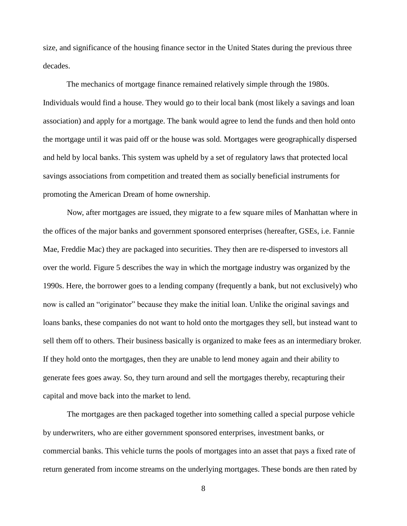size, and significance of the housing finance sector in the United States during the previous three decades.

The mechanics of mortgage finance remained relatively simple through the 1980s. Individuals would find a house. They would go to their local bank (most likely a savings and loan association) and apply for a mortgage. The bank would agree to lend the funds and then hold onto the mortgage until it was paid off or the house was sold. Mortgages were geographically dispersed and held by local banks. This system was upheld by a set of regulatory laws that protected local savings associations from competition and treated them as socially beneficial instruments for promoting the American Dream of home ownership.

Now, after mortgages are issued, they migrate to a few square miles of Manhattan where in the offices of the major banks and government sponsored enterprises (hereafter, GSEs, i.e. Fannie Mae, Freddie Mac) they are packaged into securities. They then are re-dispersed to investors all over the world. Figure 5 describes the way in which the mortgage industry was organized by the 1990s. Here, the borrower goes to a lending company (frequently a bank, but not exclusively) who now is called an "originator" because they make the initial loan. Unlike the original savings and loans banks, these companies do not want to hold onto the mortgages they sell, but instead want to sell them off to others. Their business basically is organized to make fees as an intermediary broker. If they hold onto the mortgages, then they are unable to lend money again and their ability to generate fees goes away. So, they turn around and sell the mortgages thereby, recapturing their capital and move back into the market to lend.

The mortgages are then packaged together into something called a special purpose vehicle by underwriters, who are either government sponsored enterprises, investment banks, or commercial banks. This vehicle turns the pools of mortgages into an asset that pays a fixed rate of return generated from income streams on the underlying mortgages. These bonds are then rated by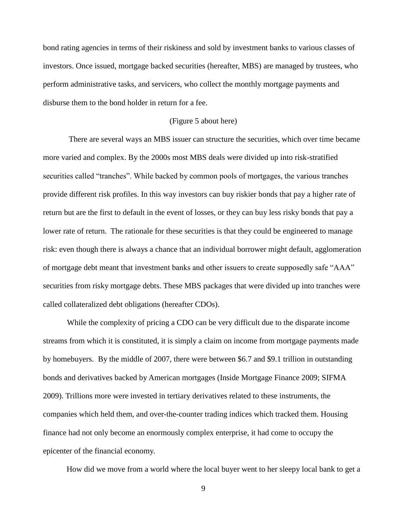bond rating agencies in terms of their riskiness and sold by investment banks to various classes of investors. Once issued, mortgage backed securities (hereafter, MBS) are managed by trustees, who perform administrative tasks, and servicers, who collect the monthly mortgage payments and disburse them to the bond holder in return for a fee.

### (Figure 5 about here)

There are several ways an MBS issuer can structure the securities, which over time became more varied and complex. By the 2000s most MBS deals were divided up into risk-stratified securities called "tranches". While backed by common pools of mortgages, the various tranches provide different risk profiles. In this way investors can buy riskier bonds that pay a higher rate of return but are the first to default in the event of losses, or they can buy less risky bonds that pay a lower rate of return. The rationale for these securities is that they could be engineered to manage risk: even though there is always a chance that an individual borrower might default, agglomeration of mortgage debt meant that investment banks and other issuers to create supposedly safe "AAA" securities from risky mortgage debts. These MBS packages that were divided up into tranches were called collateralized debt obligations (hereafter CDOs).

While the complexity of pricing a CDO can be very difficult due to the disparate income streams from which it is constituted, it is simply a claim on income from mortgage payments made by homebuyers. By the middle of 2007, there were between \$6.7 and \$9.1 trillion in outstanding bonds and derivatives backed by American mortgages (Inside Mortgage Finance 2009; SIFMA 2009). Trillions more were invested in tertiary derivatives related to these instruments, the companies which held them, and over-the-counter trading indices which tracked them. Housing finance had not only become an enormously complex enterprise, it had come to occupy the epicenter of the financial economy.

How did we move from a world where the local buyer went to her sleepy local bank to get a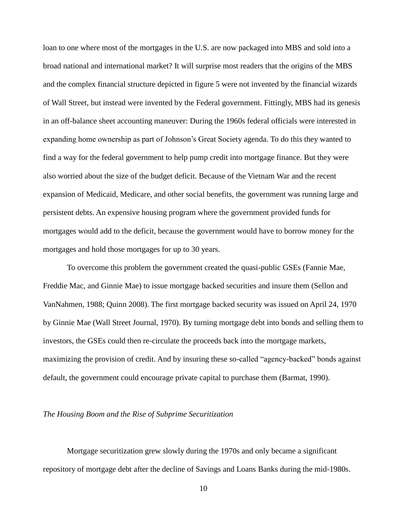loan to one where most of the mortgages in the U.S. are now packaged into MBS and sold into a broad national and international market? It will surprise most readers that the origins of the MBS and the complex financial structure depicted in figure 5 were not invented by the financial wizards of Wall Street, but instead were invented by the Federal government. Fittingly, MBS had its genesis in an off-balance sheet accounting maneuver: During the 1960s federal officials were interested in expanding home ownership as part of Johnson's Great Society agenda. To do this they wanted to find a way for the federal government to help pump credit into mortgage finance. But they were also worried about the size of the budget deficit. Because of the Vietnam War and the recent expansion of Medicaid, Medicare, and other social benefits, the government was running large and persistent debts. An expensive housing program where the government provided funds for mortgages would add to the deficit, because the government would have to borrow money for the mortgages and hold those mortgages for up to 30 years.

To overcome this problem the government created the quasi-public GSEs (Fannie Mae, Freddie Mac, and Ginnie Mae) to issue mortgage backed securities and insure them (Sellon and VanNahmen, 1988; Quinn 2008). The first mortgage backed security was issued on April 24, 1970 by Ginnie Mae (Wall Street Journal, 1970). By turning mortgage debt into bonds and selling them to investors, the GSEs could then re-circulate the proceeds back into the mortgage markets, maximizing the provision of credit. And by insuring these so-called "agency-backed" bonds against default, the government could encourage private capital to purchase them (Barmat, 1990).

# *The Housing Boom and the Rise of Subprime Securitization*

Mortgage securitization grew slowly during the 1970s and only became a significant repository of mortgage debt after the decline of Savings and Loans Banks during the mid-1980s.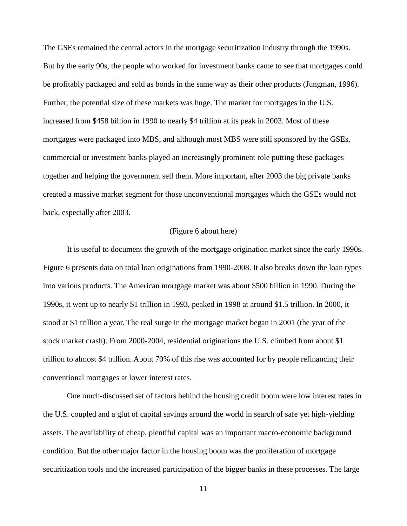The GSEs remained the central actors in the mortgage securitization industry through the 1990s. But by the early 90s, the people who worked for investment banks came to see that mortgages could be profitably packaged and sold as bonds in the same way as their other products (Jungman, 1996). Further, the potential size of these markets was huge. The market for mortgages in the U.S. increased from \$458 billion in 1990 to nearly \$4 trillion at its peak in 2003. Most of these mortgages were packaged into MBS, and although most MBS were still sponsored by the GSEs, commercial or investment banks played an increasingly prominent role putting these packages together and helping the government sell them. More important, after 2003 the big private banks created a massive market segment for those unconventional mortgages which the GSEs would not back, especially after 2003.

### (Figure 6 about here)

It is useful to document the growth of the mortgage origination market since the early 1990s. Figure 6 presents data on total loan originations from 1990-2008. It also breaks down the loan types into various products. The American mortgage market was about \$500 billion in 1990. During the 1990s, it went up to nearly \$1 trillion in 1993, peaked in 1998 at around \$1.5 trillion. In 2000, it stood at \$1 trillion a year. The real surge in the mortgage market began in 2001 (the year of the stock market crash). From 2000-2004, residential originations the U.S. climbed from about \$1 trillion to almost \$4 trillion. About 70% of this rise was accounted for by people refinancing their conventional mortgages at lower interest rates.

One much-discussed set of factors behind the housing credit boom were low interest rates in the U.S. coupled and a glut of capital savings around the world in search of safe yet high-yielding assets. The availability of cheap, plentiful capital was an important macro-economic background condition. But the other major factor in the housing boom was the proliferation of mortgage securitization tools and the increased participation of the bigger banks in these processes. The large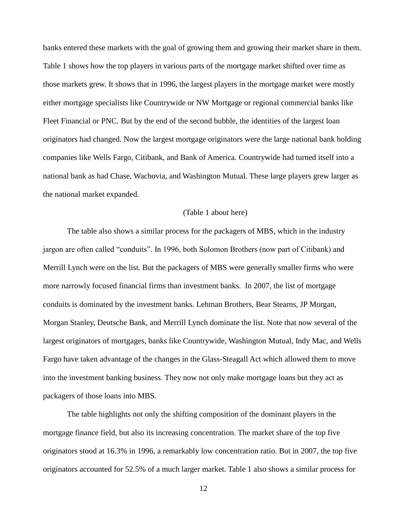banks entered these markets with the goal of growing them and growing their market share in them. Table 1 shows how the top players in various parts of the mortgage market shifted over time as those markets grew. It shows that in 1996, the largest players in the mortgage market were mostly either mortgage specialists like Countrywide or NW Mortgage or regional commercial banks like Fleet Financial or PNC. But by the end of the second bubble, the identities of the largest loan originators had changed. Now the largest mortgage originators were the large national bank holding companies like Wells Fargo, Citibank, and Bank of America. Countrywide had turned itself into a national bank as had Chase, Wachovia, and Washington Mutual. These large players grew larger as the national market expanded.

### (Table 1 about here)

The table also shows a similar process for the packagers of MBS, which in the industry jargon are often called "conduits". In 1996, both Solomon Brothers (now part of Citibank) and Merrill Lynch were on the list. But the packagers of MBS were generally smaller firms who were more narrowly focused financial firms than investment banks. In 2007, the list of mortgage conduits is dominated by the investment banks. Lehman Brothers, Bear Stearns, JP Morgan, Morgan Stanley, Deutsche Bank, and Merrill Lynch dominate the list. Note that now several of the largest originators of mortgages, banks like Countrywide, Washington Mutual, Indy Mac, and Wells Fargo have taken advantage of the changes in the Glass-Steagall Act which allowed them to move into the investment banking business. They now not only make mortgage loans but they act as packagers of those loans into MBS.

The table highlights not only the shifting composition of the dominant players in the mortgage finance field, but also its increasing concentration. The market share of the top five originators stood at 16.3% in 1996, a remarkably low concentration ratio. But in 2007, the top five originators accounted for 52.5% of a much larger market. Table 1 also shows a similar process for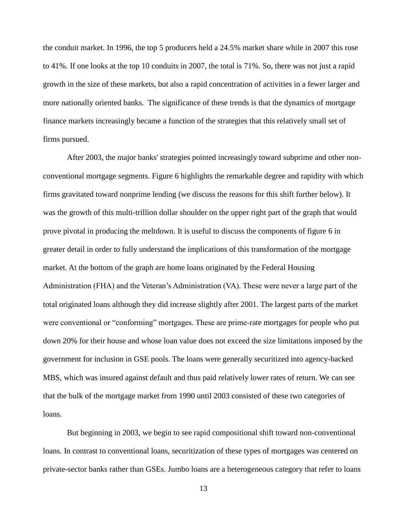the conduit market. In 1996, the top 5 producers held a 24.5% market share while in 2007 this rose to 41%. If one looks at the top 10 conduits in 2007, the total is 71%. So, there was not just a rapid growth in the size of these markets, but also a rapid concentration of activities in a fewer larger and more nationally oriented banks. The significance of these trends is that the dynamics of mortgage finance markets increasingly became a function of the strategies that this relatively small set of firms pursued.

After 2003, the major banks' strategies pointed increasingly toward subprime and other nonconventional mortgage segments. Figure 6 highlights the remarkable degree and rapidity with which firms gravitated toward nonprime lending (we discuss the reasons for this shift further below). It was the growth of this multi-trillion dollar shoulder on the upper right part of the graph that would prove pivotal in producing the meltdown. It is useful to discuss the components of figure 6 in greater detail in order to fully understand the implications of this transformation of the mortgage market. At the bottom of the graph are home loans originated by the Federal Housing Administration (FHA) and the Veteran's Administration (VA). These were never a large part of the total originated loans although they did increase slightly after 2001. The largest parts of the market were conventional or "conforming" mortgages. These are prime-rate mortgages for people who put down 20% for their house and whose loan value does not exceed the size limitations imposed by the government for inclusion in GSE pools. The loans were generally securitized into agency-backed MBS, which was insured against default and thus paid relatively lower rates of return. We can see that the bulk of the mortgage market from 1990 until 2003 consisted of these two categories of loans.

But beginning in 2003, we begin to see rapid compositional shift toward non-conventional loans. In contrast to conventional loans, securitization of these types of mortgages was centered on private-sector banks rather than GSEs. Jumbo loans are a heterogeneous category that refer to loans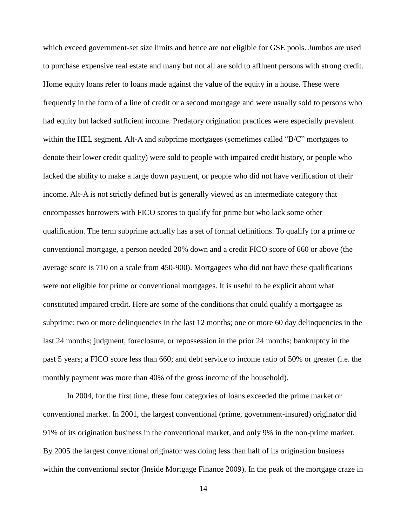which exceed government-set size limits and hence are not eligible for GSE pools. Jumbos are used to purchase expensive real estate and many but not all are sold to affluent persons with strong credit. Home equity loans refer to loans made against the value of the equity in a house. These were frequently in the form of a line of credit or a second mortgage and were usually sold to persons who had equity but lacked sufficient income. Predatory origination practices were especially prevalent within the HEL segment. Alt-A and subprime mortgages (sometimes called "B/C" mortgages to denote their lower credit quality) were sold to people with impaired credit history, or people who lacked the ability to make a large down payment, or people who did not have verification of their income. Alt-A is not strictly defined but is generally viewed as an intermediate category that encompasses borrowers with FICO scores to qualify for prime but who lack some other qualification. The term subprime actually has a set of formal definitions. To qualify for a prime or conventional mortgage, a person needed 20% down and a credit FICO score of 660 or above (the average score is 710 on a scale from 450-900). Mortgagees who did not have these qualifications were not eligible for prime or conventional mortgages. It is useful to be explicit about what constituted impaired credit. Here are some of the conditions that could qualify a mortgagee as subprime: two or more delinquencies in the last 12 months; one or more 60 day delinquencies in the last 24 months; judgment, foreclosure, or repossession in the prior 24 months; bankruptcy in the past 5 years; a FICO score less than 660; and debt service to income ratio of 50% or greater (i.e. the monthly payment was more than 40% of the gross income of the household).

In 2004, for the first time, these four categories of loans exceeded the prime market or conventional market. In 2001, the largest conventional (prime, government-insured) originator did 91% of its origination business in the conventional market, and only 9% in the non-prime market. By 2005 the largest conventional originator was doing less than half of its origination business within the conventional sector (Inside Mortgage Finance 2009). In the peak of the mortgage craze in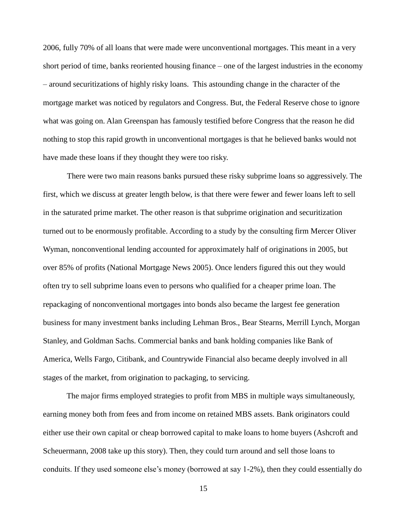2006, fully 70% of all loans that were made were unconventional mortgages. This meant in a very short period of time, banks reoriented housing finance – one of the largest industries in the economy – around securitizations of highly risky loans. This astounding change in the character of the mortgage market was noticed by regulators and Congress. But, the Federal Reserve chose to ignore what was going on. Alan Greenspan has famously testified before Congress that the reason he did nothing to stop this rapid growth in unconventional mortgages is that he believed banks would not have made these loans if they thought they were too risky.

There were two main reasons banks pursued these risky subprime loans so aggressively. The first, which we discuss at greater length below, is that there were fewer and fewer loans left to sell in the saturated prime market. The other reason is that subprime origination and securitization turned out to be enormously profitable. According to a study by the consulting firm Mercer Oliver Wyman, nonconventional lending accounted for approximately half of originations in 2005, but over 85% of profits (National Mortgage News 2005). Once lenders figured this out they would often try to sell subprime loans even to persons who qualified for a cheaper prime loan. The repackaging of nonconventional mortgages into bonds also became the largest fee generation business for many investment banks including Lehman Bros., Bear Stearns, Merrill Lynch, Morgan Stanley, and Goldman Sachs. Commercial banks and bank holding companies like Bank of America, Wells Fargo, Citibank, and Countrywide Financial also became deeply involved in all stages of the market, from origination to packaging, to servicing.

The major firms employed strategies to profit from MBS in multiple ways simultaneously, earning money both from fees and from income on retained MBS assets. Bank originators could either use their own capital or cheap borrowed capital to make loans to home buyers (Ashcroft and Scheuermann, 2008 take up this story). Then, they could turn around and sell those loans to conduits. If they used someone else's money (borrowed at say 1-2%), then they could essentially do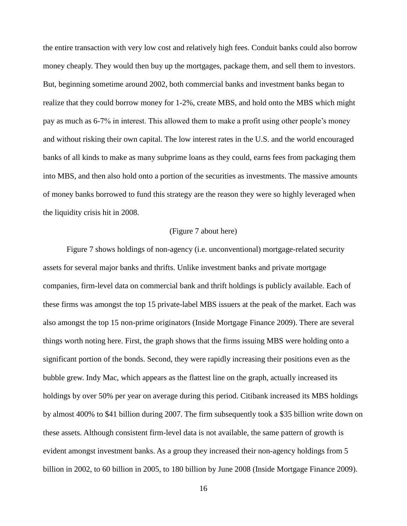the entire transaction with very low cost and relatively high fees. Conduit banks could also borrow money cheaply. They would then buy up the mortgages, package them, and sell them to investors. But, beginning sometime around 2002, both commercial banks and investment banks began to realize that they could borrow money for 1-2%, create MBS, and hold onto the MBS which might pay as much as 6-7% in interest. This allowed them to make a profit using other people's money and without risking their own capital. The low interest rates in the U.S. and the world encouraged banks of all kinds to make as many subprime loans as they could, earns fees from packaging them into MBS, and then also hold onto a portion of the securities as investments. The massive amounts of money banks borrowed to fund this strategy are the reason they were so highly leveraged when the liquidity crisis hit in 2008.

### (Figure 7 about here)

Figure 7 shows holdings of non-agency (i.e. unconventional) mortgage-related security assets for several major banks and thrifts. Unlike investment banks and private mortgage companies, firm-level data on commercial bank and thrift holdings is publicly available. Each of these firms was amongst the top 15 private-label MBS issuers at the peak of the market. Each was also amongst the top 15 non-prime originators (Inside Mortgage Finance 2009). There are several things worth noting here. First, the graph shows that the firms issuing MBS were holding onto a significant portion of the bonds. Second, they were rapidly increasing their positions even as the bubble grew. Indy Mac, which appears as the flattest line on the graph, actually increased its holdings by over 50% per year on average during this period. Citibank increased its MBS holdings by almost 400% to \$41 billion during 2007. The firm subsequently took a \$35 billion write down on these assets. Although consistent firm-level data is not available, the same pattern of growth is evident amongst investment banks. As a group they increased their non-agency holdings from 5 billion in 2002, to 60 billion in 2005, to 180 billion by June 2008 (Inside Mortgage Finance 2009).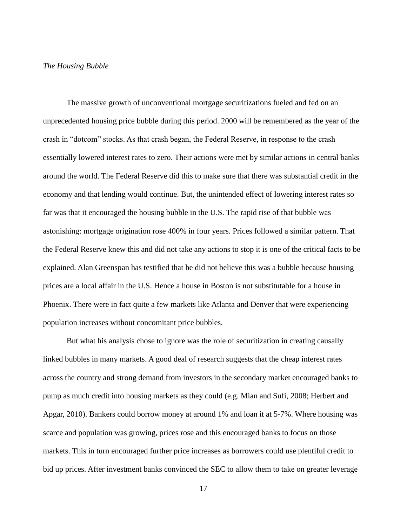#### *The Housing Bubble*

The massive growth of unconventional mortgage securitizations fueled and fed on an unprecedented housing price bubble during this period. 2000 will be remembered as the year of the crash in "dotcom" stocks. As that crash began, the Federal Reserve, in response to the crash essentially lowered interest rates to zero. Their actions were met by similar actions in central banks around the world. The Federal Reserve did this to make sure that there was substantial credit in the economy and that lending would continue. But, the unintended effect of lowering interest rates so far was that it encouraged the housing bubble in the U.S. The rapid rise of that bubble was astonishing: mortgage origination rose 400% in four years. Prices followed a similar pattern. That the Federal Reserve knew this and did not take any actions to stop it is one of the critical facts to be explained. Alan Greenspan has testified that he did not believe this was a bubble because housing prices are a local affair in the U.S. Hence a house in Boston is not substitutable for a house in Phoenix. There were in fact quite a few markets like Atlanta and Denver that were experiencing population increases without concomitant price bubbles.

But what his analysis chose to ignore was the role of securitization in creating causally linked bubbles in many markets. A good deal of research suggests that the cheap interest rates across the country and strong demand from investors in the secondary market encouraged banks to pump as much credit into housing markets as they could (e.g. Mian and Sufi, 2008; Herbert and Apgar, 2010). Bankers could borrow money at around 1% and loan it at 5-7%. Where housing was scarce and population was growing, prices rose and this encouraged banks to focus on those markets. This in turn encouraged further price increases as borrowers could use plentiful credit to bid up prices. After investment banks convinced the SEC to allow them to take on greater leverage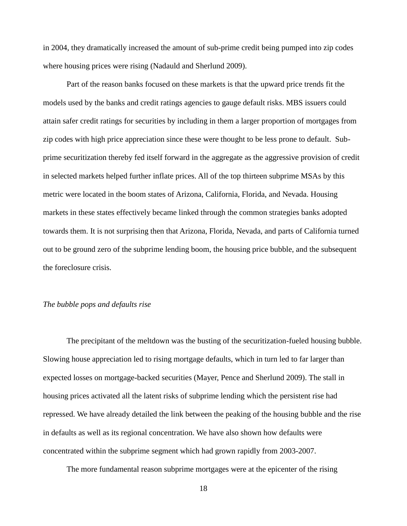in 2004, they dramatically increased the amount of sub-prime credit being pumped into zip codes where housing prices were rising (Nadauld and Sherlund 2009).

Part of the reason banks focused on these markets is that the upward price trends fit the models used by the banks and credit ratings agencies to gauge default risks. MBS issuers could attain safer credit ratings for securities by including in them a larger proportion of mortgages from zip codes with high price appreciation since these were thought to be less prone to default. Subprime securitization thereby fed itself forward in the aggregate as the aggressive provision of credit in selected markets helped further inflate prices. All of the top thirteen subprime MSAs by this metric were located in the boom states of Arizona, California, Florida, and Nevada. Housing markets in these states effectively became linked through the common strategies banks adopted towards them. It is not surprising then that Arizona, Florida, Nevada, and parts of California turned out to be ground zero of the subprime lending boom, the housing price bubble, and the subsequent the foreclosure crisis.

# *The bubble pops and defaults rise*

The precipitant of the meltdown was the busting of the securitization-fueled housing bubble. Slowing house appreciation led to rising mortgage defaults, which in turn led to far larger than expected losses on mortgage-backed securities (Mayer, Pence and Sherlund 2009). The stall in housing prices activated all the latent risks of subprime lending which the persistent rise had repressed. We have already detailed the link between the peaking of the housing bubble and the rise in defaults as well as its regional concentration. We have also shown how defaults were concentrated within the subprime segment which had grown rapidly from 2003-2007.

The more fundamental reason subprime mortgages were at the epicenter of the rising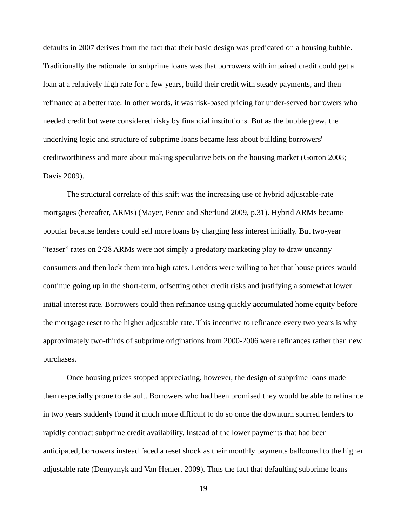defaults in 2007 derives from the fact that their basic design was predicated on a housing bubble. Traditionally the rationale for subprime loans was that borrowers with impaired credit could get a loan at a relatively high rate for a few years, build their credit with steady payments, and then refinance at a better rate. In other words, it was risk-based pricing for under-served borrowers who needed credit but were considered risky by financial institutions. But as the bubble grew, the underlying logic and structure of subprime loans became less about building borrowers' creditworthiness and more about making speculative bets on the housing market (Gorton 2008; Davis 2009).

The structural correlate of this shift was the increasing use of hybrid adjustable-rate mortgages (hereafter, ARMs) (Mayer, Pence and Sherlund 2009, p.31). Hybrid ARMs became popular because lenders could sell more loans by charging less interest initially. But two-year "teaser" rates on 2/28 ARMs were not simply a predatory marketing ploy to draw uncanny consumers and then lock them into high rates. Lenders were willing to bet that house prices would continue going up in the short-term, offsetting other credit risks and justifying a somewhat lower initial interest rate. Borrowers could then refinance using quickly accumulated home equity before the mortgage reset to the higher adjustable rate. This incentive to refinance every two years is why approximately two-thirds of subprime originations from 2000-2006 were refinances rather than new purchases.

Once housing prices stopped appreciating, however, the design of subprime loans made them especially prone to default. Borrowers who had been promised they would be able to refinance in two years suddenly found it much more difficult to do so once the downturn spurred lenders to rapidly contract subprime credit availability. Instead of the lower payments that had been anticipated, borrowers instead faced a reset shock as their monthly payments ballooned to the higher adjustable rate (Demyanyk and Van Hemert 2009). Thus the fact that defaulting subprime loans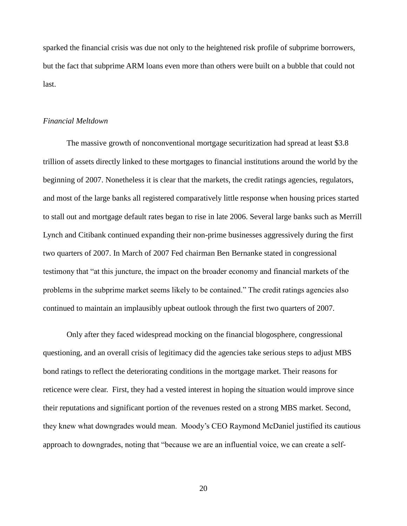sparked the financial crisis was due not only to the heightened risk profile of subprime borrowers, but the fact that subprime ARM loans even more than others were built on a bubble that could not last.

# *Financial Meltdown*

The massive growth of nonconventional mortgage securitization had spread at least \$3.8 trillion of assets directly linked to these mortgages to financial institutions around the world by the beginning of 2007. Nonetheless it is clear that the markets, the credit ratings agencies, regulators, and most of the large banks all registered comparatively little response when housing prices started to stall out and mortgage default rates began to rise in late 2006. Several large banks such as Merrill Lynch and Citibank continued expanding their non-prime businesses aggressively during the first two quarters of 2007. In March of 2007 Fed chairman Ben Bernanke stated in congressional testimony that "at this juncture, the impact on the broader economy and financial markets of the problems in the subprime market seems likely to be contained." The credit ratings agencies also continued to maintain an implausibly upbeat outlook through the first two quarters of 2007.

Only after they faced widespread mocking on the financial blogosphere, congressional questioning, and an overall crisis of legitimacy did the agencies take serious steps to adjust MBS bond ratings to reflect the deteriorating conditions in the mortgage market. Their reasons for reticence were clear. First, they had a vested interest in hoping the situation would improve since their reputations and significant portion of the revenues rested on a strong MBS market. Second, they knew what downgrades would mean. Moody's CEO Raymond McDaniel justified its cautious approach to downgrades, noting that "because we are an influential voice, we can create a self-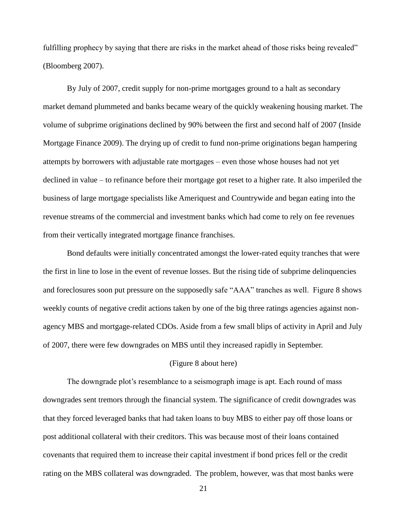fulfilling prophecy by saying that there are risks in the market ahead of those risks being revealed" (Bloomberg 2007).

By July of 2007, credit supply for non-prime mortgages ground to a halt as secondary market demand plummeted and banks became weary of the quickly weakening housing market. The volume of subprime originations declined by 90% between the first and second half of 2007 (Inside Mortgage Finance 2009). The drying up of credit to fund non-prime originations began hampering attempts by borrowers with adjustable rate mortgages – even those whose houses had not yet declined in value – to refinance before their mortgage got reset to a higher rate. It also imperiled the business of large mortgage specialists like Ameriquest and Countrywide and began eating into the revenue streams of the commercial and investment banks which had come to rely on fee revenues from their vertically integrated mortgage finance franchises.

Bond defaults were initially concentrated amongst the lower-rated equity tranches that were the first in line to lose in the event of revenue losses. But the rising tide of subprime delinquencies and foreclosures soon put pressure on the supposedly safe "AAA" tranches as well. Figure 8 shows weekly counts of negative credit actions taken by one of the big three ratings agencies against nonagency MBS and mortgage-related CDOs. Aside from a few small blips of activity in April and July of 2007, there were few downgrades on MBS until they increased rapidly in September.

# (Figure 8 about here)

The downgrade plot's resemblance to a seismograph image is apt. Each round of mass downgrades sent tremors through the financial system. The significance of credit downgrades was that they forced leveraged banks that had taken loans to buy MBS to either pay off those loans or post additional collateral with their creditors. This was because most of their loans contained covenants that required them to increase their capital investment if bond prices fell or the credit rating on the MBS collateral was downgraded. The problem, however, was that most banks were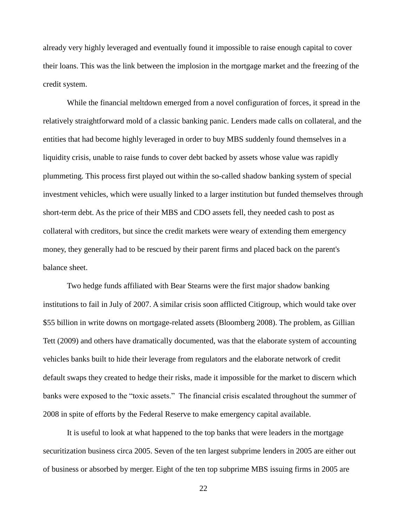already very highly leveraged and eventually found it impossible to raise enough capital to cover their loans. This was the link between the implosion in the mortgage market and the freezing of the credit system.

While the financial meltdown emerged from a novel configuration of forces, it spread in the relatively straightforward mold of a classic banking panic. Lenders made calls on collateral, and the entities that had become highly leveraged in order to buy MBS suddenly found themselves in a liquidity crisis, unable to raise funds to cover debt backed by assets whose value was rapidly plummeting. This process first played out within the so-called shadow banking system of special investment vehicles, which were usually linked to a larger institution but funded themselves through short-term debt. As the price of their MBS and CDO assets fell, they needed cash to post as collateral with creditors, but since the credit markets were weary of extending them emergency money, they generally had to be rescued by their parent firms and placed back on the parent's balance sheet.

Two hedge funds affiliated with Bear Stearns were the first major shadow banking institutions to fail in July of 2007. A similar crisis soon afflicted Citigroup, which would take over \$55 billion in write downs on mortgage-related assets (Bloomberg 2008). The problem, as Gillian Tett (2009) and others have dramatically documented, was that the elaborate system of accounting vehicles banks built to hide their leverage from regulators and the elaborate network of credit default swaps they created to hedge their risks, made it impossible for the market to discern which banks were exposed to the "toxic assets." The financial crisis escalated throughout the summer of 2008 in spite of efforts by the Federal Reserve to make emergency capital available.

It is useful to look at what happened to the top banks that were leaders in the mortgage securitization business circa 2005. Seven of the ten largest subprime lenders in 2005 are either out of business or absorbed by merger. Eight of the ten top subprime MBS issuing firms in 2005 are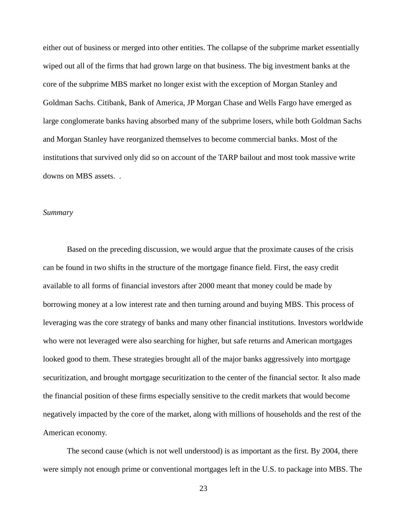either out of business or merged into other entities. The collapse of the subprime market essentially wiped out all of the firms that had grown large on that business. The big investment banks at the core of the subprime MBS market no longer exist with the exception of Morgan Stanley and Goldman Sachs. Citibank, Bank of America, JP Morgan Chase and Wells Fargo have emerged as large conglomerate banks having absorbed many of the subprime losers, while both Goldman Sachs and Morgan Stanley have reorganized themselves to become commercial banks. Most of the institutions that survived only did so on account of the TARP bailout and most took massive write downs on MBS assets. .

### *Summary*

Based on the preceding discussion, we would argue that the proximate causes of the crisis can be found in two shifts in the structure of the mortgage finance field. First, the easy credit available to all forms of financial investors after 2000 meant that money could be made by borrowing money at a low interest rate and then turning around and buying MBS. This process of leveraging was the core strategy of banks and many other financial institutions. Investors worldwide who were not leveraged were also searching for higher, but safe returns and American mortgages looked good to them. These strategies brought all of the major banks aggressively into mortgage securitization, and brought mortgage securitization to the center of the financial sector. It also made the financial position of these firms especially sensitive to the credit markets that would become negatively impacted by the core of the market, along with millions of households and the rest of the American economy.

The second cause (which is not well understood) is as important as the first. By 2004, there were simply not enough prime or conventional mortgages left in the U.S. to package into MBS. The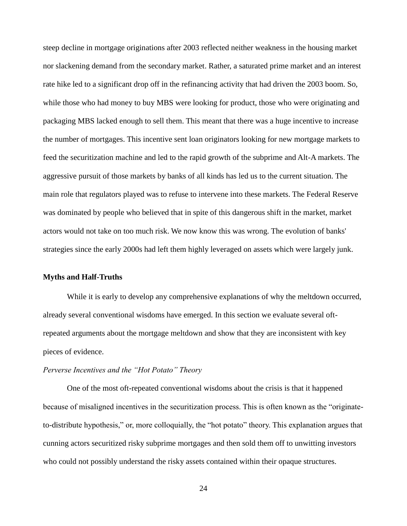steep decline in mortgage originations after 2003 reflected neither weakness in the housing market nor slackening demand from the secondary market. Rather, a saturated prime market and an interest rate hike led to a significant drop off in the refinancing activity that had driven the 2003 boom. So, while those who had money to buy MBS were looking for product, those who were originating and packaging MBS lacked enough to sell them. This meant that there was a huge incentive to increase the number of mortgages. This incentive sent loan originators looking for new mortgage markets to feed the securitization machine and led to the rapid growth of the subprime and Alt-A markets. The aggressive pursuit of those markets by banks of all kinds has led us to the current situation. The main role that regulators played was to refuse to intervene into these markets. The Federal Reserve was dominated by people who believed that in spite of this dangerous shift in the market, market actors would not take on too much risk. We now know this was wrong. The evolution of banks' strategies since the early 2000s had left them highly leveraged on assets which were largely junk.

### **Myths and Half-Truths**

While it is early to develop any comprehensive explanations of why the meltdown occurred, already several conventional wisdoms have emerged. In this section we evaluate several oftrepeated arguments about the mortgage meltdown and show that they are inconsistent with key pieces of evidence.

## *Perverse Incentives and the "Hot Potato" Theory*

One of the most oft-repeated conventional wisdoms about the crisis is that it happened because of misaligned incentives in the securitization process. This is often known as the "originateto-distribute hypothesis," or, more colloquially, the "hot potato" theory. This explanation argues that cunning actors securitized risky subprime mortgages and then sold them off to unwitting investors who could not possibly understand the risky assets contained within their opaque structures.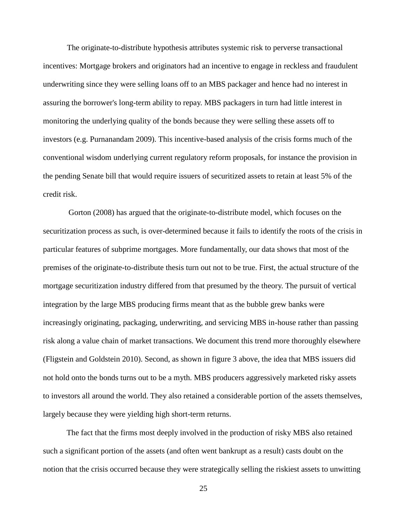The originate-to-distribute hypothesis attributes systemic risk to perverse transactional incentives: Mortgage brokers and originators had an incentive to engage in reckless and fraudulent underwriting since they were selling loans off to an MBS packager and hence had no interest in assuring the borrower's long-term ability to repay. MBS packagers in turn had little interest in monitoring the underlying quality of the bonds because they were selling these assets off to investors (e.g. Purnanandam 2009). This incentive-based analysis of the crisis forms much of the conventional wisdom underlying current regulatory reform proposals, for instance the provision in the pending Senate bill that would require issuers of securitized assets to retain at least 5% of the credit risk.

Gorton (2008) has argued that the originate-to-distribute model, which focuses on the securitization process as such, is over-determined because it fails to identify the roots of the crisis in particular features of subprime mortgages. More fundamentally, our data shows that most of the premises of the originate-to-distribute thesis turn out not to be true. First, the actual structure of the mortgage securitization industry differed from that presumed by the theory. The pursuit of vertical integration by the large MBS producing firms meant that as the bubble grew banks were increasingly originating, packaging, underwriting, and servicing MBS in-house rather than passing risk along a value chain of market transactions. We document this trend more thoroughly elsewhere (Fligstein and Goldstein 2010). Second, as shown in figure 3 above, the idea that MBS issuers did not hold onto the bonds turns out to be a myth. MBS producers aggressively marketed risky assets to investors all around the world. They also retained a considerable portion of the assets themselves, largely because they were yielding high short-term returns.

The fact that the firms most deeply involved in the production of risky MBS also retained such a significant portion of the assets (and often went bankrupt as a result) casts doubt on the notion that the crisis occurred because they were strategically selling the riskiest assets to unwitting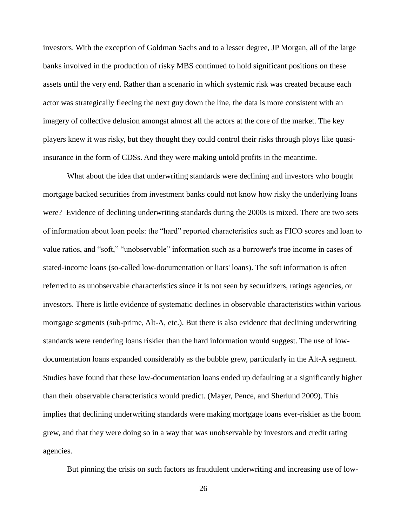investors. With the exception of Goldman Sachs and to a lesser degree, JP Morgan, all of the large banks involved in the production of risky MBS continued to hold significant positions on these assets until the very end. Rather than a scenario in which systemic risk was created because each actor was strategically fleecing the next guy down the line, the data is more consistent with an imagery of collective delusion amongst almost all the actors at the core of the market. The key players knew it was risky, but they thought they could control their risks through ploys like quasiinsurance in the form of CDSs. And they were making untold profits in the meantime.

What about the idea that underwriting standards were declining and investors who bought mortgage backed securities from investment banks could not know how risky the underlying loans were? Evidence of declining underwriting standards during the 2000s is mixed. There are two sets of information about loan pools: the "hard" reported characteristics such as FICO scores and loan to value ratios, and "soft," "unobservable" information such as a borrower's true income in cases of stated-income loans (so-called low-documentation or liars' loans). The soft information is often referred to as unobservable characteristics since it is not seen by securitizers, ratings agencies, or investors. There is little evidence of systematic declines in observable characteristics within various mortgage segments (sub-prime, Alt-A, etc.). But there is also evidence that declining underwriting standards were rendering loans riskier than the hard information would suggest. The use of lowdocumentation loans expanded considerably as the bubble grew, particularly in the Alt-A segment. Studies have found that these low-documentation loans ended up defaulting at a significantly higher than their observable characteristics would predict. (Mayer, Pence, and Sherlund 2009). This implies that declining underwriting standards were making mortgage loans ever-riskier as the boom grew, and that they were doing so in a way that was unobservable by investors and credit rating agencies.

But pinning the crisis on such factors as fraudulent underwriting and increasing use of low-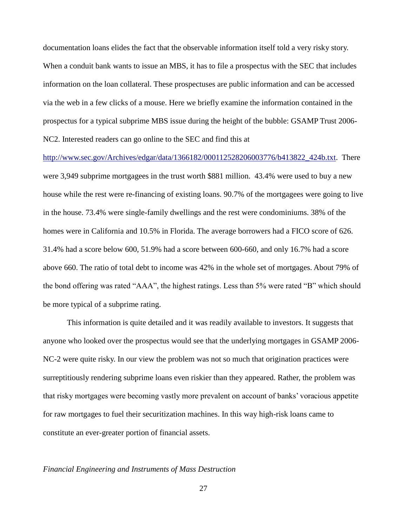documentation loans elides the fact that the observable information itself told a very risky story. When a conduit bank wants to issue an MBS, it has to file a prospectus with the SEC that includes information on the loan collateral. These prospectuses are public information and can be accessed via the web in a few clicks of a mouse. Here we briefly examine the information contained in the prospectus for a typical subprime MBS issue during the height of the bubble: GSAMP Trust 2006- NC2. Interested readers can go online to the SEC and find this at

[http://www.sec.gov/Archives/edgar/data/1366182/000112528206003776/b413822\\_424b.txt.](http://www.sec.gov/Archives/edgar/data/1366182/000112528206003776/b413822_424b.txt) There were 3,949 subprime mortgagees in the trust worth \$881 million. 43.4% were used to buy a new house while the rest were re-financing of existing loans. 90.7% of the mortgagees were going to live in the house. 73.4% were single-family dwellings and the rest were condominiums. 38% of the homes were in California and 10.5% in Florida. The average borrowers had a FICO score of 626. 31.4% had a score below 600, 51.9% had a score between 600-660, and only 16.7% had a score above 660. The ratio of total debt to income was 42% in the whole set of mortgages. About 79% of the bond offering was rated "AAA", the highest ratings. Less than 5% were rated "B" which should be more typical of a subprime rating.

This information is quite detailed and it was readily available to investors. It suggests that anyone who looked over the prospectus would see that the underlying mortgages in GSAMP 2006- NC-2 were quite risky. In our view the problem was not so much that origination practices were surreptitiously rendering subprime loans even riskier than they appeared. Rather, the problem was that risky mortgages were becoming vastly more prevalent on account of banks' voracious appetite for raw mortgages to fuel their securitization machines. In this way high-risk loans came to constitute an ever-greater portion of financial assets.

### *Financial Engineering and Instruments of Mass Destruction*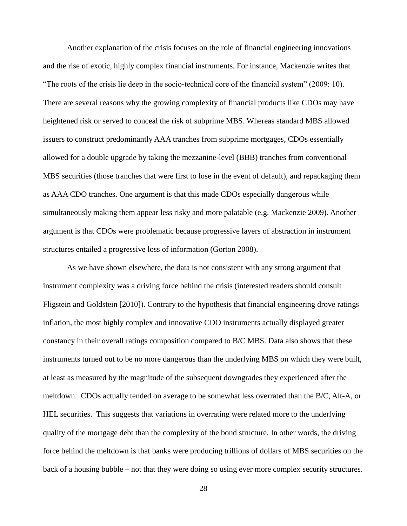Another explanation of the crisis focuses on the role of financial engineering innovations and the rise of exotic, highly complex financial instruments. For instance, Mackenzie writes that "The roots of the crisis lie deep in the socio-technical core of the financial system" (2009: 10). There are several reasons why the growing complexity of financial products like CDOs may have heightened risk or served to conceal the risk of subprime MBS. Whereas standard MBS allowed issuers to construct predominantly AAA tranches from subprime mortgages, CDOs essentially allowed for a double upgrade by taking the mezzanine-level (BBB) tranches from conventional MBS securities (those tranches that were first to lose in the event of default), and repackaging them as AAA CDO tranches. One argument is that this made CDOs especially dangerous while simultaneously making them appear less risky and more palatable (e.g. Mackenzie 2009). Another argument is that CDOs were problematic because progressive layers of abstraction in instrument structures entailed a progressive loss of information (Gorton 2008).

As we have shown elsewhere, the data is not consistent with any strong argument that instrument complexity was a driving force behind the crisis (interested readers should consult Fligstein and Goldstein [2010]). Contrary to the hypothesis that financial engineering drove ratings inflation, the most highly complex and innovative CDO instruments actually displayed greater constancy in their overall ratings composition compared to B/C MBS. Data also shows that these instruments turned out to be no more dangerous than the underlying MBS on which they were built, at least as measured by the magnitude of the subsequent downgrades they experienced after the meltdown. CDOs actually tended on average to be somewhat less overrated than the B/C, Alt-A, or HEL securities. This suggests that variations in overrating were related more to the underlying quality of the mortgage debt than the complexity of the bond structure. In other words, the driving force behind the meltdown is that banks were producing trillions of dollars of MBS securities on the back of a housing bubble – not that they were doing so using ever more complex security structures.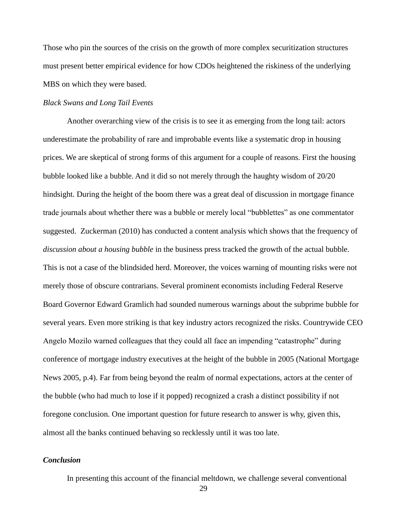Those who pin the sources of the crisis on the growth of more complex securitization structures must present better empirical evidence for how CDOs heightened the riskiness of the underlying MBS on which they were based.

### *Black Swans and Long Tail Events*

Another overarching view of the crisis is to see it as emerging from the long tail: actors underestimate the probability of rare and improbable events like a systematic drop in housing prices. We are skeptical of strong forms of this argument for a couple of reasons. First the housing bubble looked like a bubble. And it did so not merely through the haughty wisdom of 20/20 hindsight. During the height of the boom there was a great deal of discussion in mortgage finance trade journals about whether there was a bubble or merely local "bubblettes" as one commentator suggested. Zuckerman (2010) has conducted a content analysis which shows that the frequency of *discussion about a housing bubble* in the business press tracked the growth of the actual bubble. This is not a case of the blindsided herd. Moreover, the voices warning of mounting risks were not merely those of obscure contrarians. Several prominent economists including Federal Reserve Board Governor Edward Gramlich had sounded numerous warnings about the subprime bubble for several years. Even more striking is that key industry actors recognized the risks. Countrywide CEO Angelo Mozilo warned colleagues that they could all face an impending "catastrophe" during conference of mortgage industry executives at the height of the bubble in 2005 (National Mortgage News 2005, p.4). Far from being beyond the realm of normal expectations, actors at the center of the bubble (who had much to lose if it popped) recognized a crash a distinct possibility if not foregone conclusion. One important question for future research to answer is why, given this, almost all the banks continued behaving so recklessly until it was too late.

# *Conclusion*

In presenting this account of the financial meltdown, we challenge several conventional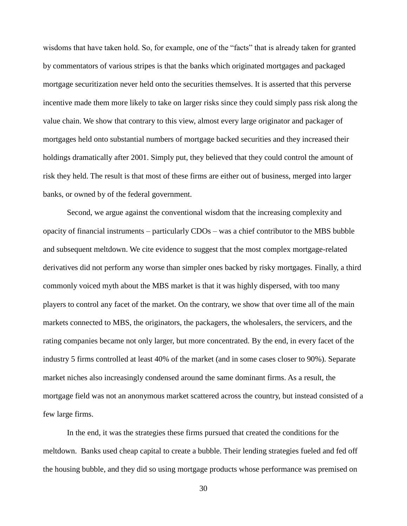wisdoms that have taken hold. So, for example, one of the "facts" that is already taken for granted by commentators of various stripes is that the banks which originated mortgages and packaged mortgage securitization never held onto the securities themselves. It is asserted that this perverse incentive made them more likely to take on larger risks since they could simply pass risk along the value chain. We show that contrary to this view, almost every large originator and packager of mortgages held onto substantial numbers of mortgage backed securities and they increased their holdings dramatically after 2001. Simply put, they believed that they could control the amount of risk they held. The result is that most of these firms are either out of business, merged into larger banks, or owned by of the federal government.

Second, we argue against the conventional wisdom that the increasing complexity and opacity of financial instruments – particularly CDOs – was a chief contributor to the MBS bubble and subsequent meltdown. We cite evidence to suggest that the most complex mortgage-related derivatives did not perform any worse than simpler ones backed by risky mortgages. Finally, a third commonly voiced myth about the MBS market is that it was highly dispersed, with too many players to control any facet of the market. On the contrary, we show that over time all of the main markets connected to MBS, the originators, the packagers, the wholesalers, the servicers, and the rating companies became not only larger, but more concentrated. By the end, in every facet of the industry 5 firms controlled at least 40% of the market (and in some cases closer to 90%). Separate market niches also increasingly condensed around the same dominant firms. As a result, the mortgage field was not an anonymous market scattered across the country, but instead consisted of a few large firms.

In the end, it was the strategies these firms pursued that created the conditions for the meltdown. Banks used cheap capital to create a bubble. Their lending strategies fueled and fed off the housing bubble, and they did so using mortgage products whose performance was premised on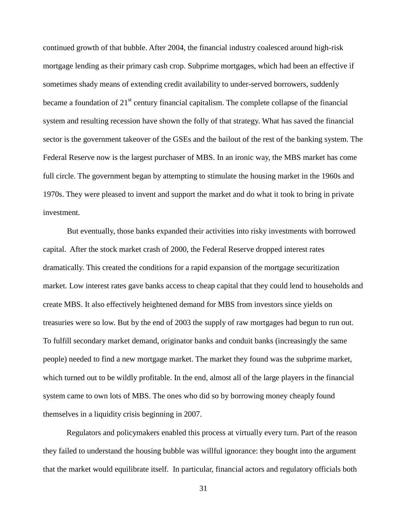continued growth of that bubble. After 2004, the financial industry coalesced around high-risk mortgage lending as their primary cash crop. Subprime mortgages, which had been an effective if sometimes shady means of extending credit availability to under-served borrowers, suddenly became a foundation of  $21<sup>st</sup>$  century financial capitalism. The complete collapse of the financial system and resulting recession have shown the folly of that strategy. What has saved the financial sector is the government takeover of the GSEs and the bailout of the rest of the banking system. The Federal Reserve now is the largest purchaser of MBS. In an ironic way, the MBS market has come full circle. The government began by attempting to stimulate the housing market in the 1960s and 1970s. They were pleased to invent and support the market and do what it took to bring in private investment.

But eventually, those banks expanded their activities into risky investments with borrowed capital. After the stock market crash of 2000, the Federal Reserve dropped interest rates dramatically. This created the conditions for a rapid expansion of the mortgage securitization market. Low interest rates gave banks access to cheap capital that they could lend to households and create MBS. It also effectively heightened demand for MBS from investors since yields on treasuries were so low. But by the end of 2003 the supply of raw mortgages had begun to run out. To fulfill secondary market demand, originator banks and conduit banks (increasingly the same people) needed to find a new mortgage market. The market they found was the subprime market, which turned out to be wildly profitable. In the end, almost all of the large players in the financial system came to own lots of MBS. The ones who did so by borrowing money cheaply found themselves in a liquidity crisis beginning in 2007.

Regulators and policymakers enabled this process at virtually every turn. Part of the reason they failed to understand the housing bubble was willful ignorance: they bought into the argument that the market would equilibrate itself. In particular, financial actors and regulatory officials both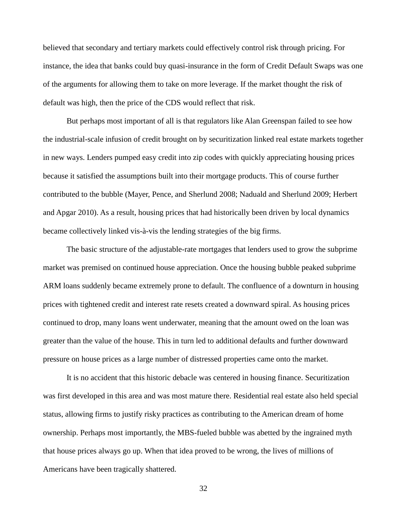believed that secondary and tertiary markets could effectively control risk through pricing. For instance, the idea that banks could buy quasi-insurance in the form of Credit Default Swaps was one of the arguments for allowing them to take on more leverage. If the market thought the risk of default was high, then the price of the CDS would reflect that risk.

But perhaps most important of all is that regulators like Alan Greenspan failed to see how the industrial-scale infusion of credit brought on by securitization linked real estate markets together in new ways. Lenders pumped easy credit into zip codes with quickly appreciating housing prices because it satisfied the assumptions built into their mortgage products. This of course further contributed to the bubble (Mayer, Pence, and Sherlund 2008; Naduald and Sherlund 2009; Herbert and Apgar 2010). As a result, housing prices that had historically been driven by local dynamics became collectively linked vis-à-vis the lending strategies of the big firms.

The basic structure of the adjustable-rate mortgages that lenders used to grow the subprime market was premised on continued house appreciation. Once the housing bubble peaked subprime ARM loans suddenly became extremely prone to default. The confluence of a downturn in housing prices with tightened credit and interest rate resets created a downward spiral. As housing prices continued to drop, many loans went underwater, meaning that the amount owed on the loan was greater than the value of the house. This in turn led to additional defaults and further downward pressure on house prices as a large number of distressed properties came onto the market.

It is no accident that this historic debacle was centered in housing finance. Securitization was first developed in this area and was most mature there. Residential real estate also held special status, allowing firms to justify risky practices as contributing to the American dream of home ownership. Perhaps most importantly, the MBS-fueled bubble was abetted by the ingrained myth that house prices always go up. When that idea proved to be wrong, the lives of millions of Americans have been tragically shattered.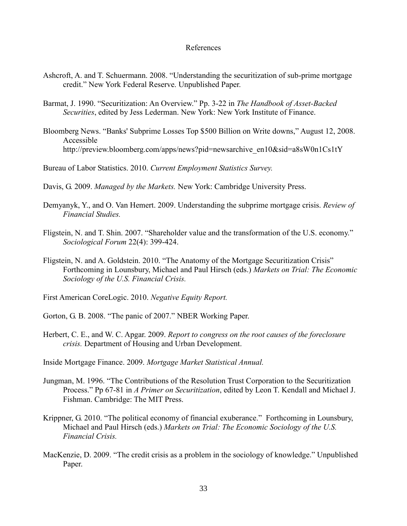### References

- Ashcroft, A. and T. Schuermann. 2008. "Understanding the securitization of sub-prime mortgage credit." New York Federal Reserve. Unpublished Paper.
- Barmat, J. 1990. "Securitization: An Overview." Pp. 3-22 in *The Handbook of Asset-Backed Securities*, edited by Jess Lederman. New York: New York Institute of Finance.
- Bloomberg News. "Banks' Subprime Losses Top \$500 Billion on Write downs," August 12, 2008. Accessible http://preview.bloomberg.com/apps/news?pid=newsarchive\_en10&sid=a8sW0n1Cs1tY
- Bureau of Labor Statistics. 2010. *Current Employment Statistics Survey.*
- Davis, G. 2009. *Managed by the Markets.* New York: Cambridge University Press.
- Demyanyk, Y., and O. Van Hemert. 2009. Understanding the subprime mortgage crisis. *Review of Financial Studies.*
- Fligstein, N. and T. Shin. 2007. "Shareholder value and the transformation of the U.S. economy." *Sociological Forum* 22(4): 399-424.
- Fligstein, N. and A. Goldstein. 2010. "The Anatomy of the Mortgage Securitization Crisis" Forthcoming in Lounsbury, Michael and Paul Hirsch (eds.) *Markets on Trial: The Economic Sociology of the U.S. Financial Crisis.*

First American CoreLogic. 2010. *Negative Equity Report.*

Gorton, G. B. 2008. "The panic of 2007." NBER Working Paper.

Herbert, C. E., and W. C. Apgar. 2009. *Report to congress on the root causes of the foreclosure crisis.* Department of Housing and Urban Development.

Inside Mortgage Finance. 2009. *Mortgage Market Statistical Annual.*

- Jungman, M. 1996. "The Contributions of the Resolution Trust Corporation to the Securitization Process." Pp 67-81 in *A Primer on Securitization*, edited by Leon T. Kendall and Michael J. Fishman. Cambridge: The MIT Press.
- Krippner, G. 2010. "The political economy of financial exuberance." Forthcoming in Lounsbury, Michael and Paul Hirsch (eds.) *Markets on Trial: The Economic Sociology of the U.S. Financial Crisis.*
- MacKenzie, D. 2009. "The credit crisis as a problem in the sociology of knowledge." Unpublished Paper.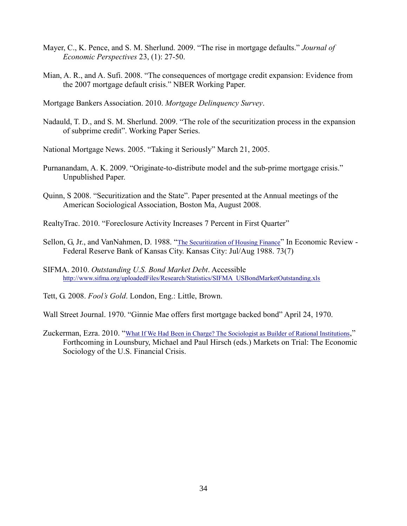- Mayer, C., K. Pence, and S. M. Sherlund. 2009. "The rise in mortgage defaults." *Journal of Economic Perspectives* 23, (1): 27-50.
- Mian, A. R., and A. Sufi. 2008. "The consequences of mortgage credit expansion: Evidence from the 2007 mortgage default crisis." NBER Working Paper.

Mortgage Bankers Association. 2010. *Mortgage Delinquency Survey*.

Nadauld, T. D., and S. M. Sherlund. 2009. "The role of the securitization process in the expansion of subprime credit". Working Paper Series.

National Mortgage News. 2005. "Taking it Seriously" March 21, 2005.

- Purnanandam, A. K. 2009. "Originate-to-distribute model and the sub-prime mortgage crisis." Unpublished Paper.
- Quinn, S 2008. "Securitization and the State". Paper presented at the Annual meetings of the American Sociological Association, Boston Ma, August 2008.
- RealtyTrac. 2010. "Foreclosure Activity Increases 7 Percent in First Quarter"
- Sellon, G, Jr., and VanNahmen, D. 1988. "[The Securitization of Housing Finance](http://proquest.umi.com/pqdweb?index=3&did=394862&SrchMode=1&sid=5&Fmt=6&VInst=PROD&VType=PQD&RQT=309&VName=PQD&TS=1177360695&clientId=1566)" In Economic Review -Federal Reserve Bank of Kansas City. Kansas City: Jul/Aug 1988. 73(7)
- SIFMA. 2010. *Outstanding U.S. Bond Market Debt*. Accessible [http://www.sifma.org/uploadedFiles/Research/Statistics/SIFMA\\_USBondMarketOutstanding.xls](http://www.sifma.org/uploadedFiles/Research/Statistics/SIFMA_USBondMarketOutstanding.xls)
- Tett, G. 2008. *Fool's Gold*. London, Eng.: Little, Brown.

Wall Street Journal. 1970. "Ginnie Mae offers first mortgage backed bond" April 24, 1970.

Zuckerman, Ezra. 2010. "[What If We Had Been in Charge? The Sociologist as Builder of Rational Institutions](http://www.business.ualberta.ca/MarketsOnTrial/~/media/University%20of%20Alberta/Faculties/Business/Faculty%20Site/MarketsOnTrial/Documents/Papers/Zuckerman.ashx)," Forthcoming in Lounsbury, Michael and Paul Hirsch (eds.) Markets on Trial: The Economic Sociology of the U.S. Financial Crisis.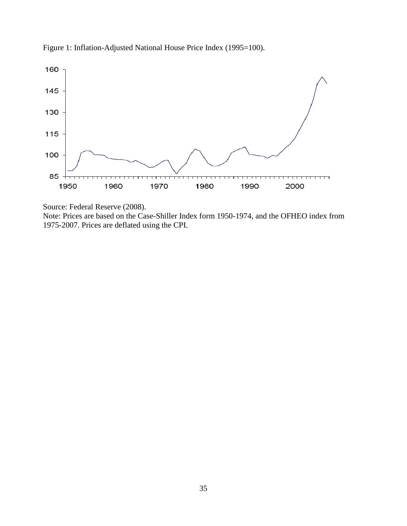



Source: Federal Reserve (2008).

Note: Prices are based on the Case-Shiller Index form 1950-1974, and the OFHEO index from 1975-2007. Prices are deflated using the CPI.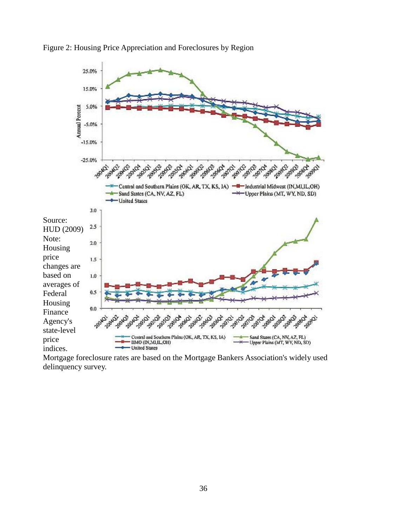



Mortgage foreclosure rates are based on the Mortgage Bankers Association's widely used delinquency survey.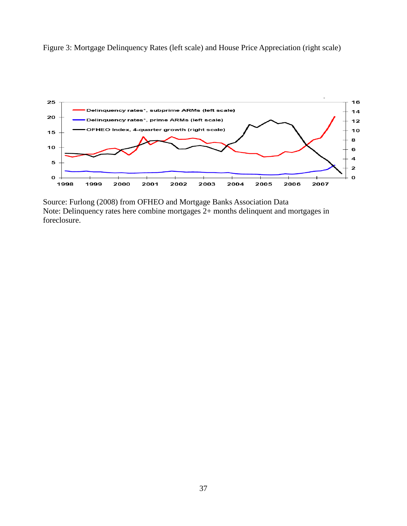



Source: Furlong (2008) from OFHEO and Mortgage Banks Association Data Note: Delinquency rates here combine mortgages 2+ months delinquent and mortgages in foreclosure.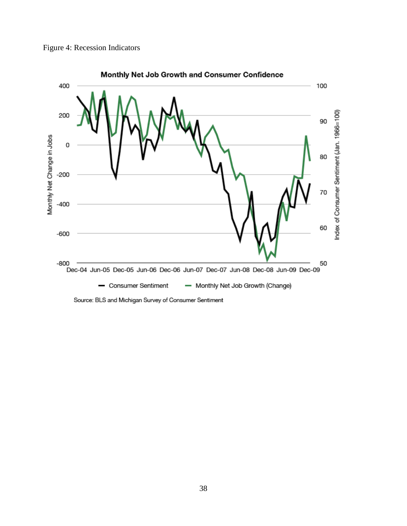



Source: BLS and Michigan Survey of Consumer Sentiment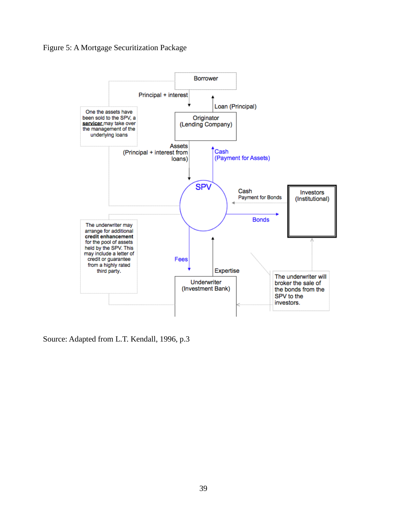# Figure 5: A Mortgage Securitization Package



Source: Adapted from L.T. Kendall, 1996, p.3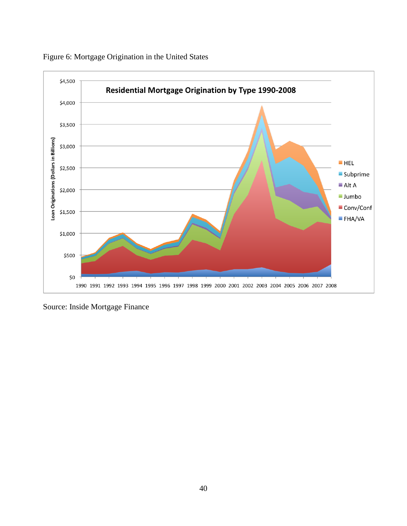

Figure 6: Mortgage Origination in the United States

Source: Inside Mortgage Finance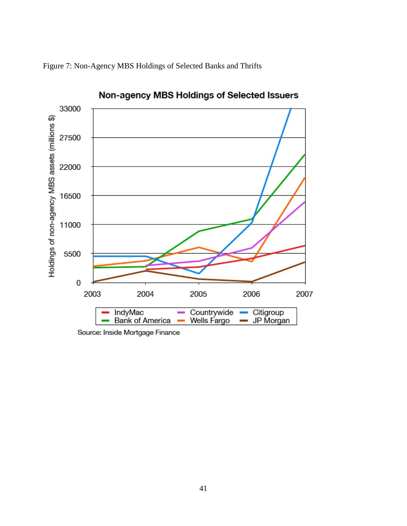



Non-agency MBS Holdings of Selected Issuers

Source: Inside Mortgage Finance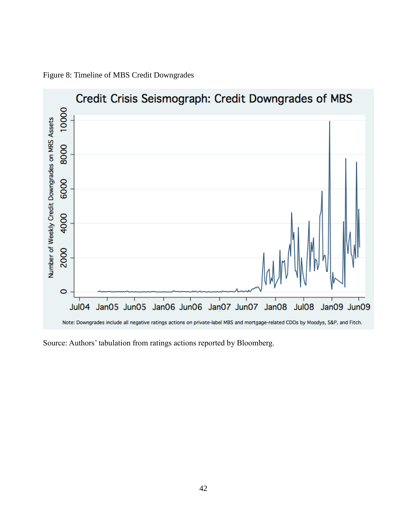

Figure 8: Timeline of MBS Credit Downgrades

Source: Authors' tabulation from ratings actions reported by Bloomberg.